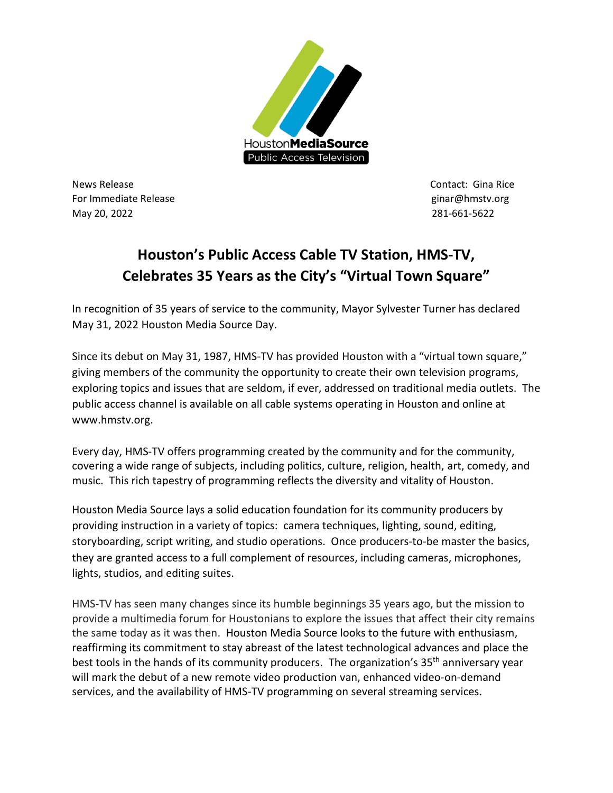

News Release **Contact:** Gina Rice For Immediate Release and the control of the control of the control of the control of the control of the control of the control of the control of the control of the control of the control of the control of the control of t May 20, 2022 281-661-5622

## **Houston's Public Access Cable TV Station, HMS-TV, Celebrates 35 Years as the City's "Virtual Town Square"**

In recognition of 35 years of service to the community, Mayor Sylvester Turner has declared May 31, 2022 Houston Media Source Day.

Since its debut on May 31, 1987, HMS-TV has provided Houston with a "virtual town square," giving members of the community the opportunity to create their own television programs, exploring topics and issues that are seldom, if ever, addressed on traditional media outlets. The public access channel is available on all cable systems operating in Houston and online at www.hmstv.org.

Every day, HMS-TV offers programming created by the community and for the community, covering a wide range of subjects, including politics, culture, religion, health, art, comedy, and music. This rich tapestry of programming reflects the diversity and vitality of Houston.

Houston Media Source lays a solid education foundation for its community producers by providing instruction in a variety of topics: camera techniques, lighting, sound, editing, storyboarding, script writing, and studio operations. Once producers-to-be master the basics, they are granted access to a full complement of resources, including cameras, microphones, lights, studios, and editing suites.

HMS-TV has seen many changes since its humble beginnings 35 years ago, but the mission to provide a multimedia forum for Houstonians to explore the issues that affect their city remains the same today as it was then. Houston Media Source looks to the future with enthusiasm, reaffirming its commitment to stay abreast of the latest technological advances and place the best tools in the hands of its community producers. The organization's 35<sup>th</sup> anniversary year will mark the debut of a new remote video production van, enhanced video-on-demand services, and the availability of HMS-TV programming on several streaming services.